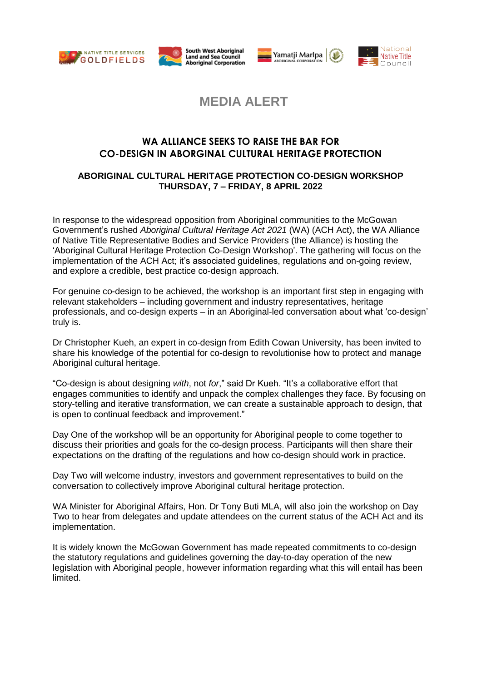







**MEDIA ALERT**

# **WA ALLIANCE SEEKS TO RAISE THE BAR FOR CO-DESIGN IN ABORGINAL CULTURAL HERITAGE PROTECTION**

## **ABORIGINAL CULTURAL HERITAGE PROTECTION CO-DESIGN WORKSHOP THURSDAY, 7 – FRIDAY, 8 APRIL 2022**

In response to the widespread opposition from Aboriginal communities to the McGowan Government's rushed *Aboriginal Cultural Heritage Act 2021* (WA) (ACH Act), the WA Alliance of Native Title Representative Bodies and Service Providers (the Alliance) is hosting the 'Aboriginal Cultural Heritage Protection Co-Design Workshop'. The gathering will focus on the implementation of the ACH Act; it's associated guidelines, regulations and on-going review, and explore a credible, best practice co-design approach.

For genuine co-design to be achieved, the workshop is an important first step in engaging with relevant stakeholders – including government and industry representatives, heritage professionals, and co-design experts – in an Aboriginal-led conversation about what 'co-design' truly is.

Dr Christopher Kueh, an expert in co-design from Edith Cowan University, has been invited to share his knowledge of the potential for co-design to revolutionise how to protect and manage Aboriginal cultural heritage.

"Co-design is about designing *with*, not *for*," said Dr Kueh. "It's a collaborative effort that engages communities to identify and unpack the complex challenges they face. By focusing on story-telling and iterative transformation, we can create a sustainable approach to design, that is open to continual feedback and improvement."

Day One of the workshop will be an opportunity for Aboriginal people to come together to discuss their priorities and goals for the co-design process. Participants will then share their expectations on the drafting of the regulations and how co-design should work in practice.

Day Two will welcome industry, investors and government representatives to build on the conversation to collectively improve Aboriginal cultural heritage protection.

WA Minister for Aboriginal Affairs, Hon. Dr Tony Buti MLA, will also join the workshop on Day Two to hear from delegates and update attendees on the current status of the ACH Act and its implementation.

It is widely known the McGowan Government has made repeated commitments to co-design the statutory regulations and guidelines governing the day-to-day operation of the new legislation with Aboriginal people, however information regarding what this will entail has been limited.